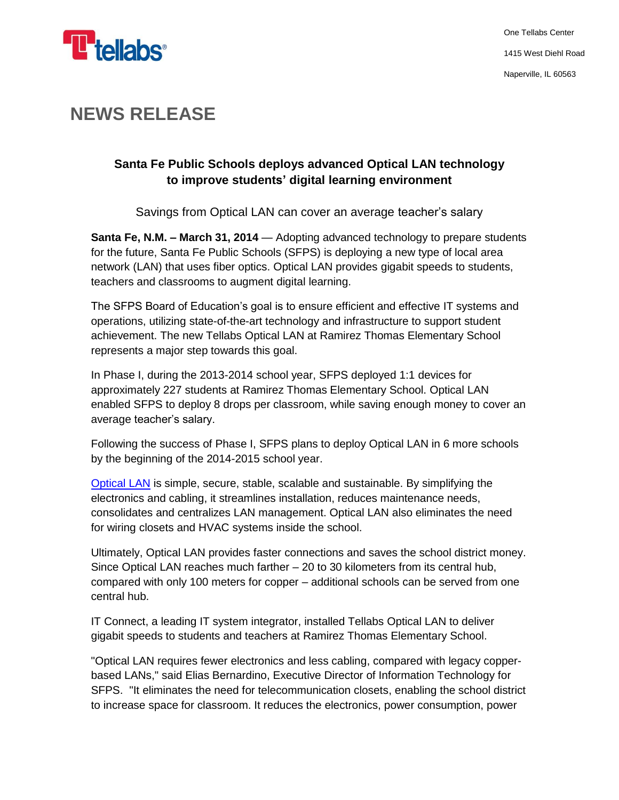

## **NEWS RELEASE**

## **Santa Fe Public Schools deploys advanced Optical LAN technology to improve students' digital learning environment**

Savings from Optical LAN can cover an average teacher's salary

**Santa Fe, N.M. – March 31, 2014** — Adopting advanced technology to prepare students for the future, Santa Fe Public Schools (SFPS) is deploying a new type of local area network (LAN) that uses fiber optics. Optical LAN provides gigabit speeds to students, teachers and classrooms to augment digital learning.

The SFPS Board of Education's goal is to ensure efficient and effective IT systems and operations, utilizing state-of-the-art technology and infrastructure to support student achievement. The new Tellabs Optical LAN at Ramirez Thomas Elementary School represents a major step towards this goal.

In Phase I, during the 2013-2014 school year, SFPS deployed 1:1 devices for approximately 227 students at Ramirez Thomas Elementary School. Optical LAN enabled SFPS to deploy 8 drops per classroom, while saving enough money to cover an average teacher's salary.

Following the success of Phase I, SFPS plans to deploy Optical LAN in 6 more schools by the beginning of the 2014-2015 school year.

[Optical LAN](http://www.tellabs.com/solutions/opticallan/) is simple, secure, stable, scalable and sustainable. By simplifying the electronics and cabling, it streamlines installation, reduces maintenance needs, consolidates and centralizes LAN management. Optical LAN also eliminates the need for wiring closets and HVAC systems inside the school.

Ultimately, Optical LAN provides faster connections and saves the school district money. Since Optical LAN reaches much farther – 20 to 30 kilometers from its central hub, compared with only 100 meters for copper – additional schools can be served from one central hub.

IT Connect, a leading IT system integrator, installed Tellabs Optical LAN to deliver gigabit speeds to students and teachers at Ramirez Thomas Elementary School.

"Optical LAN requires fewer electronics and less cabling, compared with legacy copperbased LANs," said Elias Bernardino, Executive Director of Information Technology for SFPS. "It eliminates the need for telecommunication closets, enabling the school district to increase space for classroom. It reduces the electronics, power consumption, power